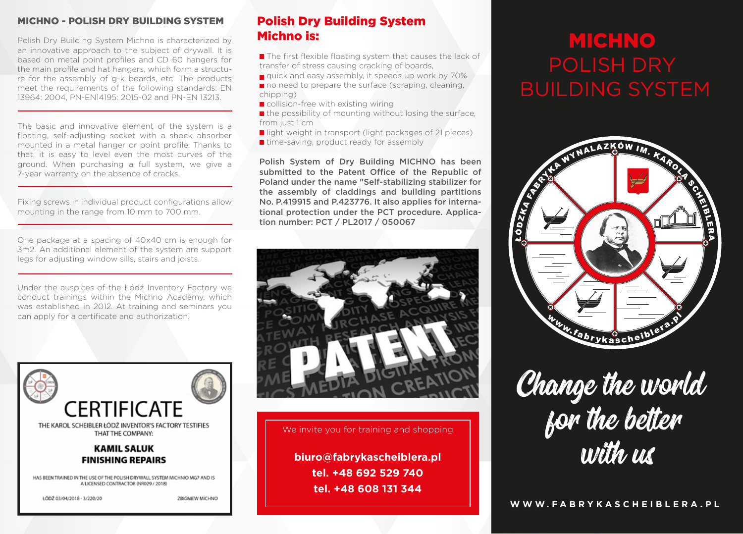#### MICHNO - POLISH DRY BUILDING SYSTEM

Polish Dry Building System Michno is characterized by an innovative approach to the subject of drywall. It is based on metal point profiles and CD 60 hangers for the main profile and hat hangers, which form a structure for the assembly of g-k boards, etc. The products meet the requirements of the following standards: EN 13964: 2004, PN-EN14195: 2015-02 and PN-EN 13213.

The basic and innovative element of the system is a floating, self-adjusting socket with a shock absorber mounted in a metal hanger or point profile. Thanks to that, it is easy to level even the most curves of the ground. When purchasing a full system, we give a 7-year warranty on the absence of cracks.

Fixing screws in individual product configurations allow mounting in the range from 10 mm to 700 mm.

One package at a spacing of 40x40 cm is enough for 3m2. An additional element of the system are support legs for adjusting window sills, stairs and joists.

Under the auspices of the Łódź Inventory Factory we conduct trainings within the Michno Academy, which was established in 2012. At training and seminars you can apply for a certificate and authorization.



# Polish Dry Building System Michno is:

 $\blacksquare$  The first flexible floating system that causes the lack of transfer of stress causing cracking of boards,

quick and easy assembly, it speeds up work by 70% no need to prepare the surface (scraping, cleaning, chipping)

■ collision-free with existing wiring

 $\blacksquare$  the possibility of mounting without losing the surface. from just 1 cm

light weight in transport (light packages of 21 pieces)

 $\blacksquare$  time-saving, product ready for assembly

Polish System of Dry Building MICHNO has been submitted to the Patent Office of the Republic of Poland under the name "Self-stabilizing stabilizer for the assembly of claddings and building partitions No. P.419915 and P.423776. It also applies for international protection under the PCT procedure. Application number: PCT / PL2017 / 050067



We invite you for training and shopping

**biuro@fabrykascheiblera.pl tel. +48 692 529 740 tel. +48 608 131 344**

# **MICHNO** BUILDING SYSTEM



Change the world for the better with us

**WWW.FABRYKASCHEIBLERA.PL**